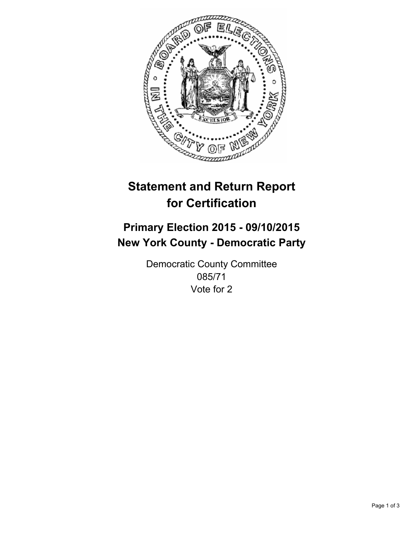

# **Statement and Return Report for Certification**

## **Primary Election 2015 - 09/10/2015 New York County - Democratic Party**

Democratic County Committee 085/71 Vote for 2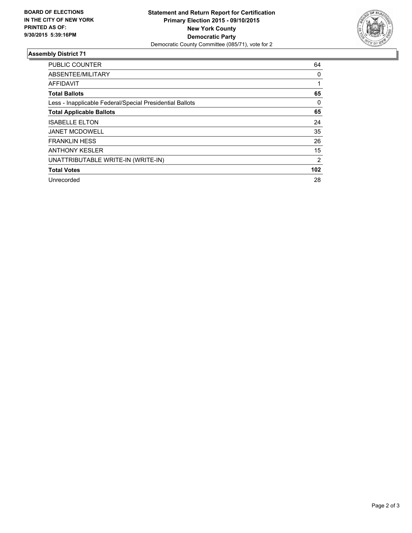

### **Assembly District 71**

| <b>PUBLIC COUNTER</b>                                    | 64             |
|----------------------------------------------------------|----------------|
| ABSENTEE/MILITARY                                        | 0              |
| <b>AFFIDAVIT</b>                                         |                |
| <b>Total Ballots</b>                                     | 65             |
| Less - Inapplicable Federal/Special Presidential Ballots | 0              |
| <b>Total Applicable Ballots</b>                          | 65             |
| <b>ISABELLE ELTON</b>                                    | 24             |
| <b>JANET MCDOWELL</b>                                    | 35             |
| <b>FRANKLIN HESS</b>                                     | 26             |
| <b>ANTHONY KESLER</b>                                    | 15             |
| UNATTRIBUTABLE WRITE-IN (WRITE-IN)                       | $\overline{2}$ |
| <b>Total Votes</b>                                       | 102            |
| Unrecorded                                               | 28             |